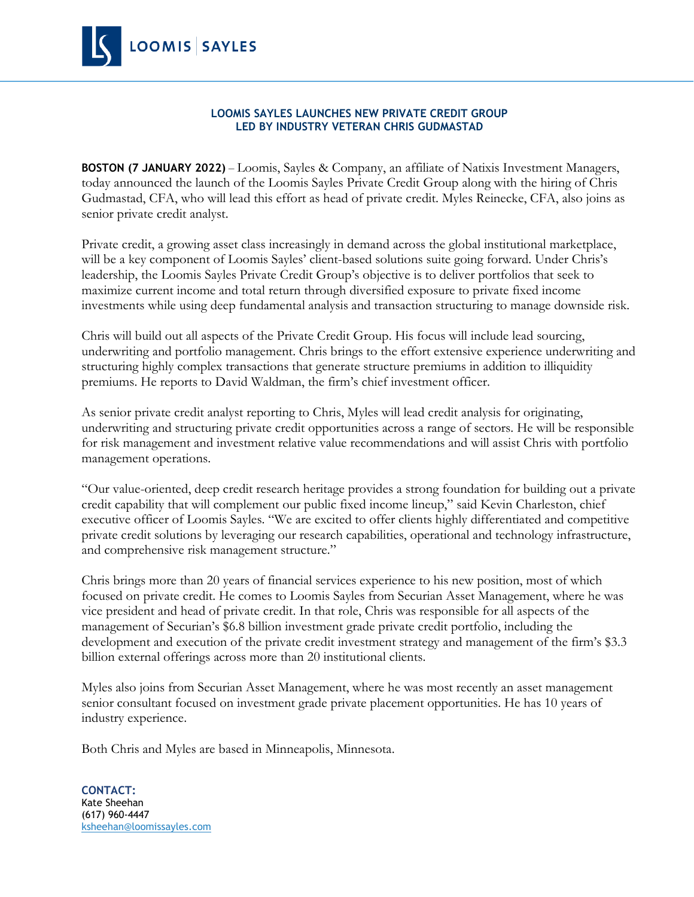

## **LOOMIS SAYLES LAUNCHES NEW PRIVATE CREDIT GROUP LED BY INDUSTRY VETERAN CHRIS GUDMASTAD**

**BOSTON (7 JANUARY 2022)** – Loomis, Sayles & Company, an affiliate of Natixis Investment Managers, today announced the launch of the Loomis Sayles Private Credit Group along with the hiring of Chris Gudmastad, CFA, who will lead this effort as head of private credit. Myles Reinecke, CFA, also joins as senior private credit analyst.

Private credit, a growing asset class increasingly in demand across the global institutional marketplace, will be a key component of Loomis Sayles' client-based solutions suite going forward. Under Chris's leadership, the Loomis Sayles Private Credit Group's objective is to deliver portfolios that seek to maximize current income and total return through diversified exposure to private fixed income investments while using deep fundamental analysis and transaction structuring to manage downside risk.

Chris will build out all aspects of the Private Credit Group. His focus will include lead sourcing, underwriting and portfolio management. Chris brings to the effort extensive experience underwriting and structuring highly complex transactions that generate structure premiums in addition to illiquidity premiums. He reports to David Waldman, the firm's chief investment officer.

As senior private credit analyst reporting to Chris, Myles will lead credit analysis for originating, underwriting and structuring private credit opportunities across a range of sectors. He will be responsible for risk management and investment relative value recommendations and will assist Chris with portfolio management operations.

"Our value-oriented, deep credit research heritage provides a strong foundation for building out a private credit capability that will complement our public fixed income lineup," said Kevin Charleston, chief executive officer of Loomis Sayles. "We are excited to offer clients highly differentiated and competitive private credit solutions by leveraging our research capabilities, operational and technology infrastructure, and comprehensive risk management structure."

Chris brings more than 20 years of financial services experience to his new position, most of which focused on private credit. He comes to Loomis Sayles from Securian Asset Management, where he was vice president and head of private credit. In that role, Chris was responsible for all aspects of the management of Securian's \$6.8 billion investment grade private credit portfolio, including the development and execution of the private credit investment strategy and management of the firm's \$3.3 billion external offerings across more than 20 institutional clients.

Myles also joins from Securian Asset Management, where he was most recently an asset management senior consultant focused on investment grade private placement opportunities. He has 10 years of industry experience.

Both Chris and Myles are based in Minneapolis, Minnesota.

**CONTACT:** Kate Sheehan (617) 960-4447 [ksheehan@loomissayles.com](mailto:ksheehan@loomissayles.com)